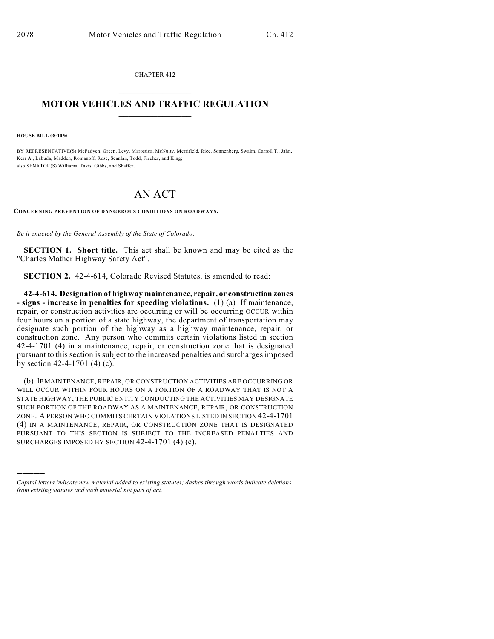CHAPTER 412  $\mathcal{L}_\text{max}$  . The set of the set of the set of the set of the set of the set of the set of the set of the set of the set of the set of the set of the set of the set of the set of the set of the set of the set of the set

## **MOTOR VEHICLES AND TRAFFIC REGULATION**  $\frac{1}{2}$  ,  $\frac{1}{2}$  ,  $\frac{1}{2}$  ,  $\frac{1}{2}$  ,  $\frac{1}{2}$  ,  $\frac{1}{2}$  ,  $\frac{1}{2}$

**HOUSE BILL 08-1036**

)))))

BY REPRESENTATIVE(S) McFadyen, Green, Levy, Marostica, McNulty, Merrifield, Rice, Sonnenberg, Swalm, Carroll T., Jahn, Kerr A., Labuda, Madden, Romanoff, Rose, Scanlan, Todd, Fischer, and King; also SENATOR(S) Williams, Takis, Gibbs, and Shaffer.

## AN ACT

**CONCERNING PREVENTION OF DANGEROUS CONDITIONS ON ROADWAYS.**

*Be it enacted by the General Assembly of the State of Colorado:*

**SECTION 1. Short title.** This act shall be known and may be cited as the "Charles Mather Highway Safety Act".

**SECTION 2.** 42-4-614, Colorado Revised Statutes, is amended to read:

**42-4-614. Designation of highway maintenance, repair, or construction zones - signs - increase in penalties for speeding violations.** (1) (a) If maintenance, repair, or construction activities are occurring or will be occurring OCCUR within four hours on a portion of a state highway, the department of transportation may designate such portion of the highway as a highway maintenance, repair, or construction zone. Any person who commits certain violations listed in section 42-4-1701 (4) in a maintenance, repair, or construction zone that is designated pursuant to this section is subject to the increased penalties and surcharges imposed by section 42-4-1701 (4) (c).

(b) IF MAINTENANCE, REPAIR, OR CONSTRUCTION ACTIVITIES ARE OCCURRING OR WILL OCCUR WITHIN FOUR HOURS ON A PORTION OF A ROADWAY THAT IS NOT A STATE HIGHWAY, THE PUBLIC ENTITY CONDUCTING THE ACTIVITIES MAY DESIGNATE SUCH PORTION OF THE ROADWAY AS A MAINTENANCE, REPAIR, OR CONSTRUCTION ZONE. A PERSON WHO COMMITS CERTAIN VIOLATIONS LISTED IN SECTION 42-4-1701 (4) IN A MAINTENANCE, REPAIR, OR CONSTRUCTION ZONE THAT IS DESIGNATED PURSUANT TO THIS SECTION IS SUBJECT TO THE INCREASED PENALTIES AND SURCHARGES IMPOSED BY SECTION 42-4-1701 (4) (c).

*Capital letters indicate new material added to existing statutes; dashes through words indicate deletions from existing statutes and such material not part of act.*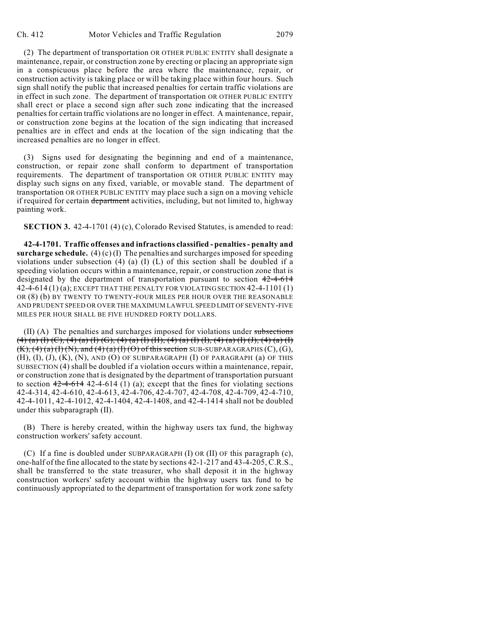(2) The department of transportation OR OTHER PUBLIC ENTITY shall designate a maintenance, repair, or construction zone by erecting or placing an appropriate sign in a conspicuous place before the area where the maintenance, repair, or construction activity is taking place or will be taking place within four hours. Such sign shall notify the public that increased penalties for certain traffic violations are in effect in such zone. The department of transportation OR OTHER PUBLIC ENTITY shall erect or place a second sign after such zone indicating that the increased penalties for certain traffic violations are no longer in effect. A maintenance, repair, or construction zone begins at the location of the sign indicating that increased penalties are in effect and ends at the location of the sign indicating that the increased penalties are no longer in effect.

(3) Signs used for designating the beginning and end of a maintenance, construction, or repair zone shall conform to department of transportation requirements. The department of transportation OR OTHER PUBLIC ENTITY may display such signs on any fixed, variable, or movable stand. The department of transportation OR OTHER PUBLIC ENTITY may place such a sign on a moving vehicle if required for certain department activities, including, but not limited to, highway painting work.

**SECTION 3.** 42-4-1701 (4) (c), Colorado Revised Statutes, is amended to read:

**42-4-1701. Traffic offenses and infractions classified - penalties - penalty and surcharge schedule.** (4) (c) (I) The penalties and surcharges imposed for speeding violations under subsection  $(4)$   $(4)$   $(1)$   $(1)$  of this section shall be doubled if a speeding violation occurs within a maintenance, repair, or construction zone that is designated by the department of transportation pursuant to section 42-4-614 42-4-614 (1) (a); EXCEPT THAT THE PENALTY FOR VIOLATING SECTION 42-4-1101 (1) OR (8) (b) BY TWENTY TO TWENTY-FOUR MILES PER HOUR OVER THE REASONABLE AND PRUDENT SPEED OR OVER THE MAXIMUM LAWFUL SPEED LIMIT OF SEVENTY-FIVE MILES PER HOUR SHALL BE FIVE HUNDRED FORTY DOLLARS.

 $(II)$  (A) The penalties and surcharges imposed for violations under subsections (4) (a) (I) (C), (4) (a) (I) (G), (4) (a) (I) (II), (4) (a) (I) (I), (4) (a) (I) (J), (4) (a) (I)  $(K)$ ,  $(4)$   $(a)$   $(I)$   $(N)$ , and  $(4)$   $(a)$   $(I)$   $(O)$  of this section SUB-SUBPARAGRAPHS  $(C)$ ,  $(G)$ , (H), (I), (J), (K), (N), AND (O) OF SUBPARAGRAPH (I) OF PARAGRAPH (a) OF THIS SUBSECTION (4) shall be doubled if a violation occurs within a maintenance, repair, or construction zone that is designated by the department of transportation pursuant to section  $42-4-614$  42-4-614 (1) (a); except that the fines for violating sections 42-4-314, 42-4-610, 42-4-613, 42-4-706, 42-4-707, 42-4-708, 42-4-709, 42-4-710, 42-4-1011, 42-4-1012, 42-4-1404, 42-4-1408, and 42-4-1414 shall not be doubled under this subparagraph (II).

(B) There is hereby created, within the highway users tax fund, the highway construction workers' safety account.

(C) If a fine is doubled under SUBPARAGRAPH (I) OR (II) OF this paragraph (c), one-half of the fine allocated to the state by sections 42-1-217 and 43-4-205, C.R.S., shall be transferred to the state treasurer, who shall deposit it in the highway construction workers' safety account within the highway users tax fund to be continuously appropriated to the department of transportation for work zone safety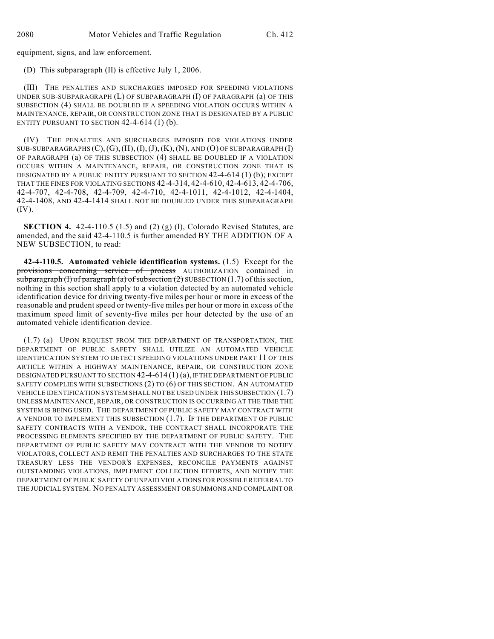equipment, signs, and law enforcement.

(D) This subparagraph (II) is effective July 1, 2006.

(III) THE PENALTIES AND SURCHARGES IMPOSED FOR SPEEDING VIOLATIONS UNDER SUB-SUBPARAGRAPH (L) OF SUBPARAGRAPH (I) OF PARAGRAPH (a) OF THIS SUBSECTION (4) SHALL BE DOUBLED IF A SPEEDING VIOLATION OCCURS WITHIN A MAINTENANCE, REPAIR, OR CONSTRUCTION ZONE THAT IS DESIGNATED BY A PUBLIC ENTITY PURSUANT TO SECTION  $42-4-614$  (1) (b).

(IV) THE PENALTIES AND SURCHARGES IMPOSED FOR VIOLATIONS UNDER  $SUB-SUBPARAGRAPHS (C), (G), (H), (I), (J), (K), (N), AND (O) OF SUBPARAGRAPH (I)$ OF PARAGRAPH (a) OF THIS SUBSECTION (4) SHALL BE DOUBLED IF A VIOLATION OCCURS WITHIN A MAINTENANCE, REPAIR, OR CONSTRUCTION ZONE THAT IS DESIGNATED BY A PUBLIC ENTITY PURSUANT TO SECTION 42-4-614 (1) (b); EXCEPT THAT THE FINES FOR VIOLATING SECTIONS 42-4-314, 42-4-610, 42-4-613, 42-4-706, 42-4-707, 42-4-708, 42-4-709, 42-4-710, 42-4-1011, 42-4-1012, 42-4-1404, 42-4-1408, AND 42-4-1414 SHALL NOT BE DOUBLED UNDER THIS SUBPARAGRAPH (IV).

**SECTION 4.** 42-4-110.5 (1.5) and (2) (g) (I), Colorado Revised Statutes, are amended, and the said 42-4-110.5 is further amended BY THE ADDITION OF A NEW SUBSECTION, to read:

**42-4-110.5. Automated vehicle identification systems.** (1.5) Except for the provisions concerning service of process AUTHORIZATION contained in  $\overline{\text{subparam}}$  (I) of paragraph (a) of subsection (2) SUBSECTION (1.7) of this section, nothing in this section shall apply to a violation detected by an automated vehicle identification device for driving twenty-five miles per hour or more in excess of the reasonable and prudent speed or twenty-five miles per hour or more in excess of the maximum speed limit of seventy-five miles per hour detected by the use of an automated vehicle identification device.

(1.7) (a) UPON REQUEST FROM THE DEPARTMENT OF TRANSPORTATION, THE DEPARTMENT OF PUBLIC SAFETY SHALL UTILIZE AN AUTOMATED VEHICLE IDENTIFICATION SYSTEM TO DETECT SPEEDING VIOLATIONS UNDER PART 11 OF THIS ARTICLE WITHIN A HIGHWAY MAINTENANCE, REPAIR, OR CONSTRUCTION ZONE DESIGNATED PURSUANT TO SECTION 42-4-614 (1) (a), IF THE DEPARTMENT OF PUBLIC SAFETY COMPLIES WITH SUBSECTIONS (2) TO (6) OF THIS SECTION. AN AUTOMATED VEHICLE IDENTIFICATION SYSTEM SHALL NOT BE USED UNDER THIS SUBSECTION (1.7) UNLESS MAINTENANCE, REPAIR, OR CONSTRUCTION IS OCCURRING AT THE TIME THE SYSTEM IS BEING USED. THE DEPARTMENT OF PUBLIC SAFETY MAY CONTRACT WITH A VENDOR TO IMPLEMENT THIS SUBSECTION (1.7). IF THE DEPARTMENT OF PUBLIC SAFETY CONTRACTS WITH A VENDOR, THE CONTRACT SHALL INCORPORATE THE PROCESSING ELEMENTS SPECIFIED BY THE DEPARTMENT OF PUBLIC SAFETY. THE DEPARTMENT OF PUBLIC SAFETY MAY CONTRACT WITH THE VENDOR TO NOTIFY VIOLATORS, COLLECT AND REMIT THE PENALTIES AND SURCHARGES TO THE STATE TREASURY LESS THE VENDOR'S EXPENSES, RECONCILE PAYMENTS AGAINST OUTSTANDING VIOLATIONS, IMPLEMENT COLLECTION EFFORTS, AND NOTIFY THE DEPARTMENT OF PUBLIC SAFETY OF UNPAID VIOLATIONS FOR POSSIBLE REFERRAL TO THE JUDICIAL SYSTEM. NO PENALTY ASSESSMENT OR SUMMONS AND COMPLAINT OR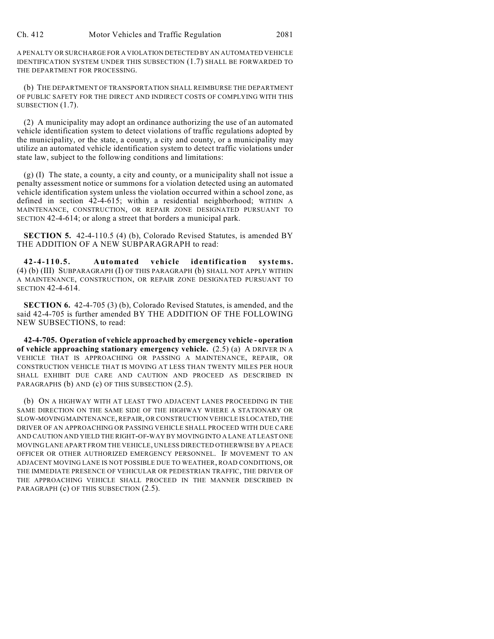A PENALTY OR SURCHARGE FOR A VIOLATION DETECTED BY AN AUTOMATED VEHICLE IDENTIFICATION SYSTEM UNDER THIS SUBSECTION (1.7) SHALL BE FORWARDED TO THE DEPARTMENT FOR PROCESSING.

(b) THE DEPARTMENT OF TRANSPORTATION SHALL REIMBURSE THE DEPARTMENT OF PUBLIC SAFETY FOR THE DIRECT AND INDIRECT COSTS OF COMPLYING WITH THIS SUBSECTION (1.7).

(2) A municipality may adopt an ordinance authorizing the use of an automated vehicle identification system to detect violations of traffic regulations adopted by the municipality, or the state, a county, a city and county, or a municipality may utilize an automated vehicle identification system to detect traffic violations under state law, subject to the following conditions and limitations:

 $(g)$  (I) The state, a county, a city and county, or a municipality shall not issue a penalty assessment notice or summons for a violation detected using an automated vehicle identification system unless the violation occurred within a school zone, as defined in section 42-4-615; within a residential neighborhood; WITHIN A MAINTENANCE, CONSTRUCTION, OR REPAIR ZONE DESIGNATED PURSUANT TO SECTION 42-4-614; or along a street that borders a municipal park.

**SECTION 5.** 42-4-110.5 (4) (b), Colorado Revised Statutes, is amended BY THE ADDITION OF A NEW SUBPARAGRAPH to read:

**42-4-110.5. Automated vehicle identification systems.** (4) (b) (III) SUBPARAGRAPH (I) OF THIS PARAGRAPH (b) SHALL NOT APPLY WITHIN A MAINTENANCE, CONSTRUCTION, OR REPAIR ZONE DESIGNATED PURSUANT TO SECTION 42-4-614.

**SECTION 6.** 42-4-705 (3) (b), Colorado Revised Statutes, is amended, and the said 42-4-705 is further amended BY THE ADDITION OF THE FOLLOWING NEW SUBSECTIONS, to read:

**42-4-705. Operation of vehicle approached by emergency vehicle - operation of vehicle approaching stationary emergency vehicle.** (2.5) (a) A DRIVER IN A VEHICLE THAT IS APPROACHING OR PASSING A MAINTENANCE, REPAIR, OR CONSTRUCTION VEHICLE THAT IS MOVING AT LESS THAN TWENTY MILES PER HOUR SHALL EXHIBIT DUE CARE AND CAUTION AND PROCEED AS DESCRIBED IN PARAGRAPHS (b) AND (c) OF THIS SUBSECTION (2.5).

(b) ON A HIGHWAY WITH AT LEAST TWO ADJACENT LANES PROCEEDING IN THE SAME DIRECTION ON THE SAME SIDE OF THE HIGHWAY WHERE A STATIONARY OR SLOW-MOVING MAINTENANCE, REPAIR, OR CONSTRUCTION VEHICLE IS LOCATED, THE DRIVER OF AN APPROACHING OR PASSING VEHICLE SHALL PROCEED WITH DUE CARE AND CAUTION AND YIELD THE RIGHT-OF-WAY BY MOVING INTO A LANE AT LEAST ONE MOVING LANE APART FROM THE VEHICLE, UNLESS DIRECTED OTHERWISE BY A PEACE OFFICER OR OTHER AUTHORIZED EMERGENCY PERSONNEL. IF MOVEMENT TO AN ADJACENT MOVING LANE IS NOT POSSIBLE DUE TO WEATHER, ROAD CONDITIONS, OR THE IMMEDIATE PRESENCE OF VEHICULAR OR PEDESTRIAN TRAFFIC, THE DRIVER OF THE APPROACHING VEHICLE SHALL PROCEED IN THE MANNER DESCRIBED IN PARAGRAPH (c) OF THIS SUBSECTION (2.5).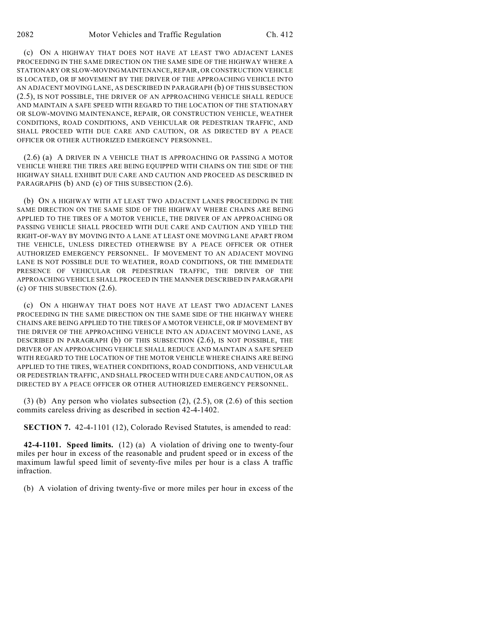(c) ON A HIGHWAY THAT DOES NOT HAVE AT LEAST TWO ADJACENT LANES PROCEEDING IN THE SAME DIRECTION ON THE SAME SIDE OF THE HIGHWAY WHERE A STATIONARY OR SLOW-MOVING MAINTENANCE, REPAIR, OR CONSTRUCTION VEHICLE IS LOCATED, OR IF MOVEMENT BY THE DRIVER OF THE APPROACHING VEHICLE INTO AN ADJACENT MOVING LANE, AS DESCRIBED IN PARAGRAPH (b) OF THIS SUBSECTION (2.5), IS NOT POSSIBLE, THE DRIVER OF AN APPROACHING VEHICLE SHALL REDUCE AND MAINTAIN A SAFE SPEED WITH REGARD TO THE LOCATION OF THE STATIONARY OR SLOW-MOVING MAINTENANCE, REPAIR, OR CONSTRUCTION VEHICLE, WEATHER CONDITIONS, ROAD CONDITIONS, AND VEHICULAR OR PEDESTRIAN TRAFFIC, AND SHALL PROCEED WITH DUE CARE AND CAUTION, OR AS DIRECTED BY A PEACE OFFICER OR OTHER AUTHORIZED EMERGENCY PERSONNEL.

(2.6) (a) A DRIVER IN A VEHICLE THAT IS APPROACHING OR PASSING A MOTOR VEHICLE WHERE THE TIRES ARE BEING EQUIPPED WITH CHAINS ON THE SIDE OF THE HIGHWAY SHALL EXHIBIT DUE CARE AND CAUTION AND PROCEED AS DESCRIBED IN PARAGRAPHS (b) AND (c) OF THIS SUBSECTION (2.6).

(b) ON A HIGHWAY WITH AT LEAST TWO ADJACENT LANES PROCEEDING IN THE SAME DIRECTION ON THE SAME SIDE OF THE HIGHWAY WHERE CHAINS ARE BEING APPLIED TO THE TIRES OF A MOTOR VEHICLE, THE DRIVER OF AN APPROACHING OR PASSING VEHICLE SHALL PROCEED WITH DUE CARE AND CAUTION AND YIELD THE RIGHT-OF-WAY BY MOVING INTO A LANE AT LEAST ONE MOVING LANE APART FROM THE VEHICLE, UNLESS DIRECTED OTHERWISE BY A PEACE OFFICER OR OTHER AUTHORIZED EMERGENCY PERSONNEL. IF MOVEMENT TO AN ADJACENT MOVING LANE IS NOT POSSIBLE DUE TO WEATHER, ROAD CONDITIONS, OR THE IMMEDIATE PRESENCE OF VEHICULAR OR PEDESTRIAN TRAFFIC, THE DRIVER OF THE APPROACHING VEHICLE SHALL PROCEED IN THE MANNER DESCRIBED IN PARAGRAPH (c) OF THIS SUBSECTION (2.6).

(c) ON A HIGHWAY THAT DOES NOT HAVE AT LEAST TWO ADJACENT LANES PROCEEDING IN THE SAME DIRECTION ON THE SAME SIDE OF THE HIGHWAY WHERE CHAINS ARE BEING APPLIED TO THE TIRES OF A MOTOR VEHICLE, OR IF MOVEMENT BY THE DRIVER OF THE APPROACHING VEHICLE INTO AN ADJACENT MOVING LANE, AS DESCRIBED IN PARAGRAPH (b) OF THIS SUBSECTION (2.6), IS NOT POSSIBLE, THE DRIVER OF AN APPROACHING VEHICLE SHALL REDUCE AND MAINTAIN A SAFE SPEED WITH REGARD TO THE LOCATION OF THE MOTOR VEHICLE WHERE CHAINS ARE BEING APPLIED TO THE TIRES, WEATHER CONDITIONS, ROAD CONDITIONS, AND VEHICULAR OR PEDESTRIAN TRAFFIC, AND SHALL PROCEED WITH DUE CARE AND CAUTION, OR AS DIRECTED BY A PEACE OFFICER OR OTHER AUTHORIZED EMERGENCY PERSONNEL.

(3) (b) Any person who violates subsection  $(2)$ ,  $(2.5)$ , OR  $(2.6)$  of this section commits careless driving as described in section 42-4-1402.

**SECTION 7.** 42-4-1101 (12), Colorado Revised Statutes, is amended to read:

**42-4-1101. Speed limits.** (12) (a) A violation of driving one to twenty-four miles per hour in excess of the reasonable and prudent speed or in excess of the maximum lawful speed limit of seventy-five miles per hour is a class A traffic infraction.

(b) A violation of driving twenty-five or more miles per hour in excess of the